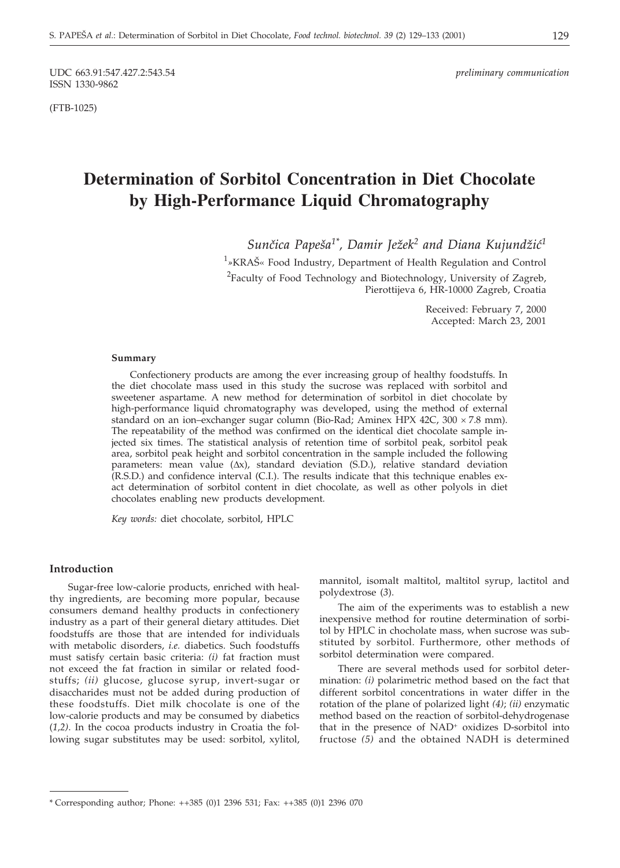(FTB-1025)

# **Determination of Sorbitol Concentration in Diet Chocolate by High-Performance Liquid Chromatography**

Sunčica Papeša<sup>1\*</sup>, Damir Ježek<sup>2</sup> and Diana Kujundžić<sup>1</sup>

<sup>1</sup>»KRAŠ« Food Industry, Department of Health Regulation and Control  $^{2}$ Faculty of Food Technology and Biotechnology, University of Zagreb, Pierottijeva 6, HR-10000 Zagreb, Croatia

> Received: February 7, 2000 Accepted: March 23, 2001

#### **Summary**

Confectionery products are among the ever increasing group of healthy foodstuffs. In the diet chocolate mass used in this study the sucrose was replaced with sorbitol and sweetener aspartame. A new method for determination of sorbitol in diet chocolate by high-performance liquid chromatography was developed, using the method of external standard on an ion–exchanger sugar column (Bio-Rad; Aminex HPX 42C, 300  $\times$  7.8 mm). The repeatability of the method was confirmed on the identical diet chocolate sample injected six times. The statistical analysis of retention time of sorbitol peak, sorbitol peak area, sorbitol peak height and sorbitol concentration in the sample included the following parameters: mean value  $(\Delta x)$ , standard deviation (S.D.), relative standard deviation (R.S.D.) and confidence interval (C.I.). The results indicate that this technique enables exact determination of sorbitol content in diet chocolate, as well as other polyols in diet chocolates enabling new products development.

*Key words:* diet chocolate, sorbitol, HPLC

#### **Introduction**

Sugar-free low-calorie products, enriched with healthy ingredients, are becoming more popular, because consumers demand healthy products in confectionery industry as a part of their general dietary attitudes. Diet foodstuffs are those that are intended for individuals with metabolic disorders, *i.e.* diabetics. Such foodstuffs must satisfy certain basic criteria: *(i)* fat fraction must not exceed the fat fraction in similar or related foodstuffs; *(ii)* glucose, glucose syrup, invert-sugar or disaccharides must not be added during production of these foodstuffs. Diet milk chocolate is one of the low-calorie products and may be consumed by diabetics (*1,2)*. In the cocoa products industry in Croatia the following sugar substitutes may be used: sorbitol, xylitol,

mannitol, isomalt maltitol, maltitol syrup, lactitol and polydextrose (*3*).

The aim of the experiments was to establish a new inexpensive method for routine determination of sorbitol by HPLC in chocholate mass, when sucrose was substituted by sorbitol. Furthermore, other methods of sorbitol determination were compared.

There are several methods used for sorbitol determination: *(i)* polarimetric method based on the fact that different sorbitol concentrations in water differ in the rotation of the plane of polarized light *(4)*; *(ii)* enzymatic method based on the reaction of sorbitol-dehydrogenase that in the presence of NAD+ oxidizes D-sorbitol into fructose *(5)* and the obtained NADH is determined

<sup>\*</sup> Corresponding author; Phone: ++385 (0)1 2396 531; Fax: ++385 (0)1 2396 070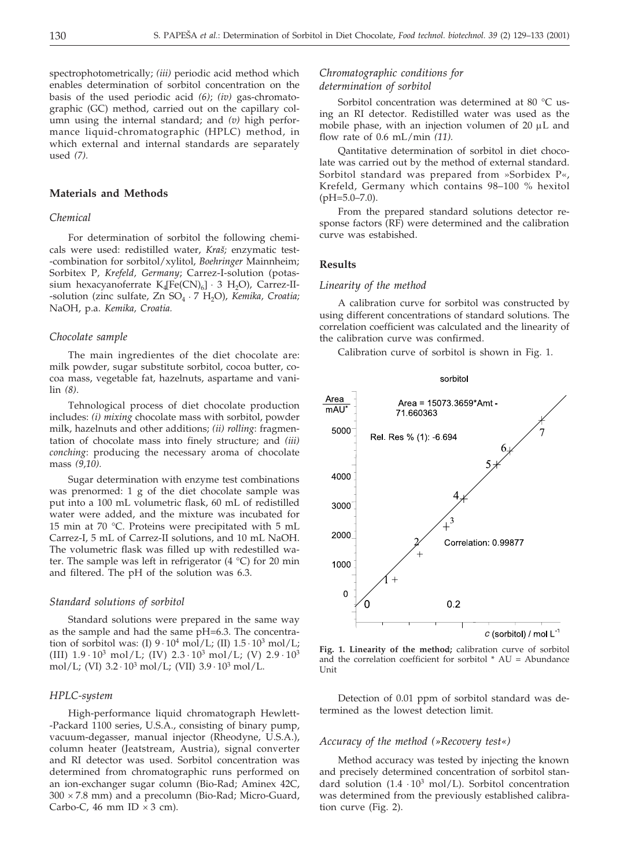spectrophotometrically; *(iii)* periodic acid method which enables determination of sorbitol concentration on the basis of the used periodic acid *(6)*; *(iv)* gas-chromatographic (GC) method, carried out on the capillary column using the internal standard; and *(v)* high performance liquid-chromatographic (HPLC) method, in which external and internal standards are separately used *(7).*

# **Materials and Methods**

# *Chemical*

For determination of sorbitol the following chemicals were used: redistilled water, *Kraš*; enzymatic test--combination for sorbitol/xylitol, *Boehringer* Mainnheim; Sorbitex P, *Krefeld, Germany*; Carrez-I-solution (potassium hexacyanoferrate  $K_4[Fe(CN)_6] \cdot 3 H_2O$ , Carrez-II--solution (zinc sulfate, Zn SO<sub>4</sub> · 7 H<sub>2</sub>O), *Kemika*, *Croatia*; NaOH, p.a. *Kemika, Croatia.*

# *Chocolate sample*

The main ingredientes of the diet chocolate are: milk powder, sugar substitute sorbitol, cocoa butter, cocoa mass, vegetable fat, hazelnuts, aspartame and vanilin *(8)*.

Tehnological process of diet chocolate production includes: *(i) mixing* chocolate mass with sorbitol, powder milk, hazelnuts and other additions; *(ii) rolling*: fragmentation of chocolate mass into finely structure; and *(iii) conching*: producing the necessary aroma of chocolate mass *(9,10).*

Sugar determination with enzyme test combinations was prenormed: 1 g of the diet chocolate sample was put into a 100 mL volumetric flask, 60 mL of redistilled water were added, and the mixture was incubated for 15 min at 70 °C. Proteins were precipitated with 5 mL Carrez-I, 5 mL of Carrez-II solutions, and 10 mL NaOH. The volumetric flask was filled up with redestilled water. The sample was left in refrigerator  $(4 \degree C)$  for 20 min and filtered. The pH of the solution was 6.3.

# *Standard solutions of sorbitol*

Standard solutions were prepared in the same way as the sample and had the same pH=6.3. The concentration of sorbitol was: (I)  $9 \cdot 10^4$  mol/L; (II)  $1.5 \cdot 10^3$  mol/L; (III)  $1.9 \cdot 10^3$  mol/L; (IV)  $2.3 \cdot 10^3$  mol/L; (V)  $2.9 \cdot 10^3$ mol/L; (VI)  $3.2 \cdot 10^3$  mol/L; (VII)  $3.9 \cdot 10^3$  mol/L.

# *HPLC-system*

High-performance liquid chromatograph Hewlett- -Packard 1100 series, U.S.A., consisting of binary pump, vacuum-degasser, manual injector (Rheodyne, U.S.A.), column heater (Jeatstream, Austria), signal converter and RI detector was used. Sorbitol concentration was determined from chromatographic runs performed on an ion-exchanger sugar column (Bio-Rad; Aminex 42C,  $300 \times 7.8$  mm) and a precolumn (Bio-Rad; Micro-Guard, Carbo-C, 46 mm ID  $\times$  3 cm).

# *Chromatographic conditions for determination of sorbitol*

Sorbitol concentration was determined at 80 °C using an RI detector. Redistilled water was used as the mobile phase, with an injection volumen of 20  $\mu$ L and flow rate of 0.6 mL/min *(11).*

Qantitative determination of sorbitol in diet chocolate was carried out by the method of external standard. Sorbitol standard was prepared from »Sorbidex P«, Krefeld, Germany which contains 98–100 % hexitol (pH=5.0–7.0).

From the prepared standard solutions detector response factors (RF) were determined and the calibration curve was estabished.

# **Results**

# *Linearity of the method*

A calibration curve for sorbitol was constructed by using different concentrations of standard solutions. The correlation coefficient was calculated and the linearity of the calibration curve was confirmed.

Calibration curve of sorbitol is shown in Fig. 1.



**Fig. 1. Linearity of the method;** calibration curve of sorbitol and the correlation coefficient for sorbitol  $*$  AU = Abundance Unit

Detection of 0.01 ppm of sorbitol standard was determined as the lowest detection limit.

#### *Accuracy of the method (»Recovery test«)*

Method accuracy was tested by injecting the known and precisely determined concentration of sorbitol standard solution  $(1.4 \cdot 10^3 \text{ mol/L})$ . Sorbitol concentration was determined from the previously established calibration curve (Fig. 2).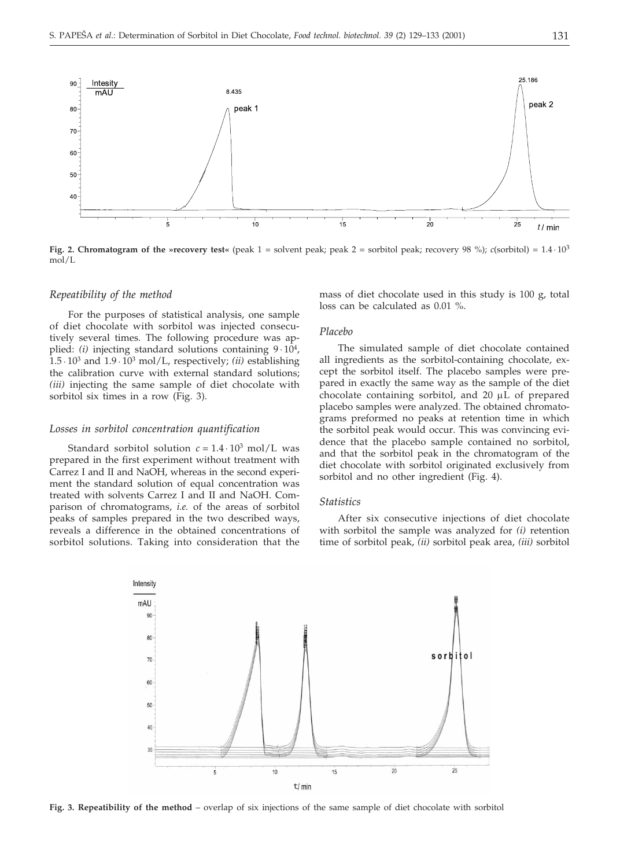

**Fig. 2. Chromatogram of the »recovery test«** (peak  $1 =$  solvent peak; peak  $2 =$  sorbitol peak; recovery 98 %); *c*(sorbitol) =  $1.4 \cdot 10^3$ mol/L

# *Repeatibility of the method*

For the purposes of statistical analysis, one sample of diet chocolate with sorbitol was injected consecutively several times. The following procedure was applied:  $(i)$  injecting standard solutions containing  $9 \cdot 10^4$ ,  $1.5 \cdot 10^3$  and  $1.9 \cdot 10^3$  mol/L, respectively; *(ii)* establishing the calibration curve with external standard solutions; *(iii)* injecting the same sample of diet chocolate with sorbitol six times in a row (Fig. 3).

# *Losses in sorbitol concentration quantification*

Standard sorbitol solution  $c = 1.4 \cdot 10^3$  mol/L was prepared in the first experiment without treatment with Carrez I and II and NaOH, whereas in the second experiment the standard solution of equal concentration was treated with solvents Carrez I and II and NaOH. Comparison of chromatograms, *i.e.* of the areas of sorbitol peaks of samples prepared in the two described ways, reveals a difference in the obtained concentrations of sorbitol solutions. Taking into consideration that the

mass of diet chocolate used in this study is 100 g, total loss can be calculated as 0.01 %.

# *Placebo*

The simulated sample of diet chocolate contained all ingredients as the sorbitol-containing chocolate, except the sorbitol itself. The placebo samples were prepared in exactly the same way as the sample of the diet chocolate containing sorbitol, and  $20 \mu L$  of prepared placebo samples were analyzed. The obtained chromatograms preformed no peaks at retention time in which the sorbitol peak would occur. This was convincing evidence that the placebo sample contained no sorbitol, and that the sorbitol peak in the chromatogram of the diet chocolate with sorbitol originated exclusively from sorbitol and no other ingredient (Fig. 4).

#### *Statistics*

After six consecutive injections of diet chocolate with sorbitol the sample was analyzed for *(i)* retention time of sorbitol peak, *(ii)* sorbitol peak area, *(iii)* sorbitol



**Fig. 3. Repeatibility of the method** – overlap of six injections of the same sample of diet chocolate with sorbitol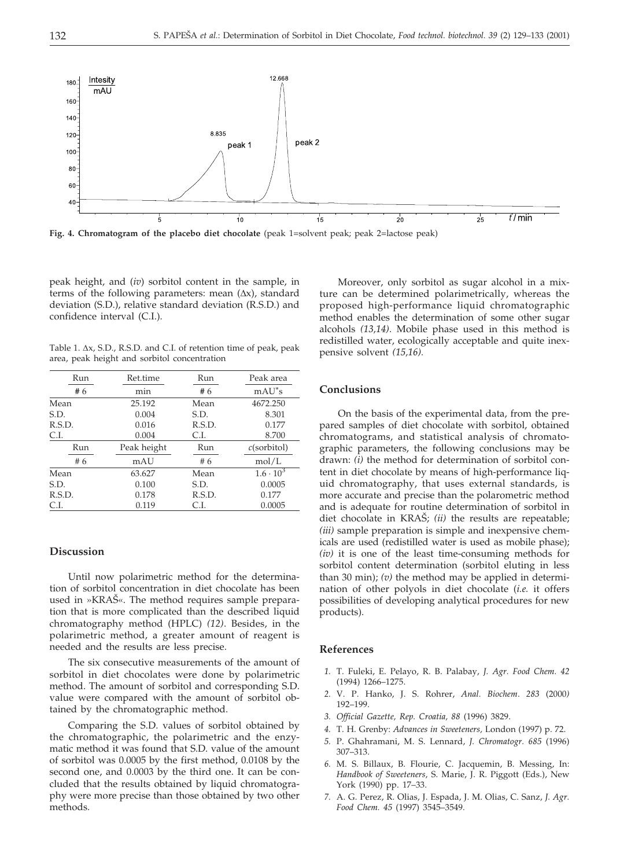

**Fig. 4. Chromatogram of the placebo diet chocolate** (peak 1=solvent peak; peak 2=lactose peak)

peak height, and (*iv*) sorbitol content in the sample, in terms of the following parameters: mean ( $\Delta x$ ), standard deviation (S.D.), relative standard deviation (R.S.D.) and confidence interval (C.I.).

Table 1.  $\Delta x$ , S.D., R.S.D. and C.I. of retention time of peak, peak area, peak height and sorbitol concentration

| Run    | Ret.time    | Run    | Peak area          |
|--------|-------------|--------|--------------------|
| #6     | min         | #6     | $mAU^*s$           |
| Mean   | 25.192      | Mean   | 4672.250           |
| S.D.   | 0.004       | S.D.   | 8.301              |
| R.S.D. | 0.016       | R.S.D. | 0.177              |
| C.I.   | 0.004       | C.I.   | 8.700              |
| Run    | Peak height | Run    | $c$ (sorbitol)     |
| #6     | mAU         | #6     | mol/L              |
| Mean   | 63.627      | Mean   | $1.6 \cdot 10^{3}$ |
| S.D.   | 0.100       | S.D.   | 0.0005             |
| R.S.D. | 0.178       | R.S.D. | 0.177              |
| C.I.   | 0.119       | C.L    | 0.0005             |

#### **Discussion**

Until now polarimetric method for the determination of sorbitol concentration in diet chocolate has been used in »KRAS«. The method requires sample preparation that is more complicated than the described liquid chromatography method (HPLC) *(12)*. Besides, in the polarimetric method, a greater amount of reagent is needed and the results are less precise.

The six consecutive measurements of the amount of sorbitol in diet chocolates were done by polarimetric method. The amount of sorbitol and corresponding S.D. value were compared with the amount of sorbitol obtained by the chromatographic method.

Comparing the S.D. values of sorbitol obtained by the chromatographic, the polarimetric and the enzymatic method it was found that S.D. value of the amount of sorbitol was 0.0005 by the first method, 0.0108 by the second one, and 0.0003 by the third one. It can be concluded that the results obtained by liquid chromatography were more precise than those obtained by two other methods.

Moreover, only sorbitol as sugar alcohol in a mixture can be determined polarimetrically, whereas the proposed high-performance liquid chromatographic method enables the determination of some other sugar alcohols *(13,14)*. Mobile phase used in this method is redistilled water, ecologically acceptable and quite inexpensive solvent *(15,16).*

#### **Conclusions**

On the basis of the experimental data, from the prepared samples of diet chocolate with sorbitol, obtained chromatograms, and statistical analysis of chromatographic parameters, the following conclusions may be drawn: *(i)* the method for determination of sorbitol content in diet chocolate by means of high-performance liquid chromatography, that uses external standards, is more accurate and precise than the polarometric method and is adequate for routine determination of sorbitol in diet chocolate in KRAŠ; *(ii)* the results are repeatable; *(iii)* sample preparation is simple and inexpensive chemicals are used (redistilled water is used as mobile phase); *(iv)* it is one of the least time-consuming methods for sorbitol content determination (sorbitol eluting in less than 30 min); *(v)* the method may be applied in determination of other polyols in diet chocolate (*i.e.* it offers possibilities of developing analytical procedures for new products).

# **References**

- *1.* T. Fuleki, E. Pelayo, R. B. Palabay, *J. Agr. Food Chem. 42* (1994) 1266–1275.
- *2.* V. P. Hanko, J. S. Rohrer, *Anal. Biochem*. *283* (2000*)* 192–199.
- *3. Official Gazette, Rep. Croatia, 88* (1996) 3829.
- *4.* T. H. Grenby: *Advances in Sweeteners,* London (1997) p. 72.
- *5.* P. Ghahramani, M. S. Lennard, *J. Chromatogr. 685* (1996) 307–313.
- *6.* M. S. Billaux, B. Flourie, C. Jacquemin, B. Messing, In: *Handbook of Sweeteners,* S. Marie, J. R. Piggott (Eds.), New York (1990) pp. 17–33.
- *7.* A. G. Perez, R. Olias, J. Espada, J. M. Olias, C. Sanz, *J. Agr. Food Chem. 45* (1997) 3545–3549.